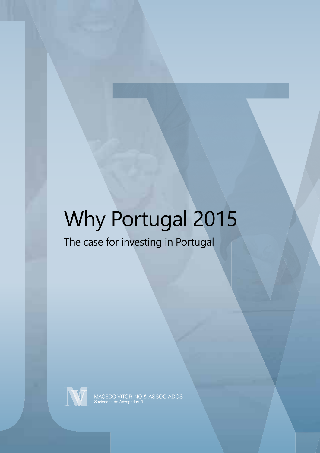# Why Portugal 2015

### The case for investing in Portugal



MACEDO VITORINO & ASSOCIADOS<br>Sociedade de Advogados, RL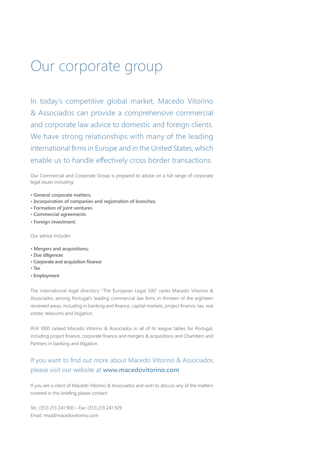## Our corporate group

In today's competitive global market, Macedo Vitorino & Associados can provide a comprehensive commercial and corporate law advice to domestic and foreign clients. We have strong relationships with many of the leading international firms in Europe and in the United States, which enable us to handle effectively cross border transactions.

Our Commercial and Corporate Group is prepared to advise on a full range of corporate legal issues including:

- **General corporate matters;**
- **Incorporation of companies and registration of branches;**
- **Formation of joint ventures**
- **Commercial agreements**
- **Foreign investment.**

Our advice includes:

- **Mergers and acquisitions;**
- **Due diligences**
- **Corporate and acquisition finance**
- **Tax**
- **Employment**

The international legal directory "The European Legal 500" ranks Macedo Vitorino & Associados among Portugal's leading commercial law firms in thirteen of the eighteen reviewed areas, including in banking and finance, capital markets, project finance, tax, real estate, telecoms and litigation.

IFLR 1000 ranked Macedo Vitorino & Associados in all of its league tables for Portugal, including project finance, corporate finance and mergers & acquisitions and Chambers and Partners in banking and litigation.

#### If you want to find out more about Macedo Vitorino & Associados please visit our website at **www.macedovitorino.com**

If you are a client of Macedo Vitorino & Associados and wish to discuss any of the matters covered in this briefing please contact:

Tel.: (351) 213 241 900 – Fax: (351) 213 241 929 Email: mva@macedovitorino.com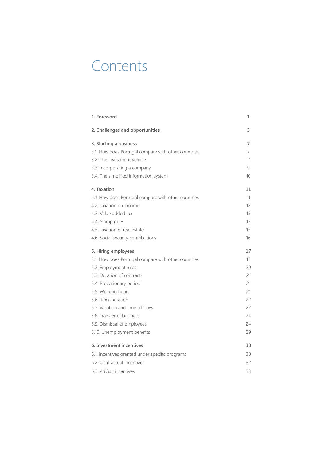### **Contents**

| 1. Foreword                                         | 1        |
|-----------------------------------------------------|----------|
| 2. Challenges and opportunities                     | 5        |
| 3. Starting a business                              | 7        |
| 3.1. How does Portugal compare with other countries | 7        |
| 3.2. The investment vehicle                         | 7        |
| 3.3. Incorporating a company                        | 9        |
| 3.4. The simplified information system              | 10       |
| 4. Taxation                                         | 11       |
| 4.1. How does Portugal compare with other countries | 11       |
| 4.2. Taxation on income                             | $12^{1}$ |
| 4.3. Value added tax                                | 15       |
| 4.4. Stamp duty                                     | 15       |
| 4.5. Taxation of real estate                        | 15       |
| 4.6. Social security contributions                  | 16       |
| 5. Hiring employees                                 | 17       |
| 5.1. How does Portugal compare with other countries | 17       |
| 5.2. Employment rules                               | 20       |
| 5.3. Duration of contracts                          | 21       |
| 5.4. Probationary period                            | 21       |
| 5.5. Working hours                                  | 21       |
| 5.6. Remuneration                                   | 22       |
| 5.7. Vacation and time off days                     | 22       |
| 5.8. Transfer of business                           | 24       |
| 5.9. Dismissal of employees                         | 24       |
| 5.10. Unemployment benefits                         | 29       |
| 6. Investment incentives                            | 30       |
| 6.1. Incentives granted under specific programs     | 30       |
| 6.2. Contractual Incentives                         | 32       |
| 6.3. Ad hoc incentives                              | 33       |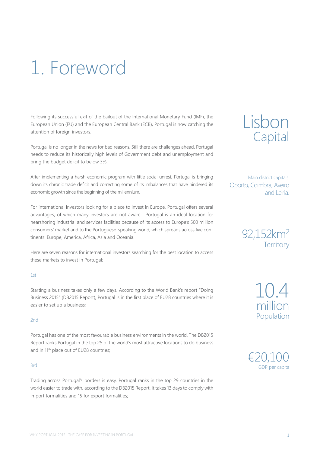# 1. Foreword

Following its successful exit of the bailout of the International Monetary Fund (IMF), the European Union (EU) and the European Central Bank (ECB), Portugal is now catching the attention of foreign investors.

Portugal is no longer in the news for bad reasons. Still there are challenges ahead. Portugal needs to reduce its historically high levels of Government debt and unemployment and bring the budget deficit to below 3%.

After implementing a harsh economic program with little social unrest, Portugal is bringing down its chronic trade deficit and correcting some of its imbalances that have hindered its economic growth since the beginning of the millennium.

For international investors looking for a place to invest in Europe, Portugal offers several advantages, of which many investors are not aware. Portugal is an ideal location for nearshoring industrial and services facilities because of its access to Europe's 500 million consumers' market and to the Portuguese-speaking world, which spreads across five continents: Europe, America, Africa, Asia and Oceania.

Here are seven reasons for international investors searching for the best location to access these markets to invest in Portugal:

#### $1st$

Starting a business takes only a few days. According to the World Bank's report "Doing Business 2015" (DB2015 Report), Portugal is in the first place of EU28 countries where it is easier to set up a business;

#### 2nd

Portugal has one of the most favourable business environments in the world. The DB2015 Report ranks Portugal in the top 25 of the world's most attractive locations to do business and in 11<sup>th</sup> place out of EU28 countries;

#### 3rd

Trading across Portugal's borders is easy. Portugal ranks in the top 29 countries in the world easier to trade with, according to the DB2015 Report. It takes 13 days to comply with import formalities and 15 for export formalities;



Main district capitals: Oporto, Coimbra, Aveiro and Leiria.



10.4 million Population

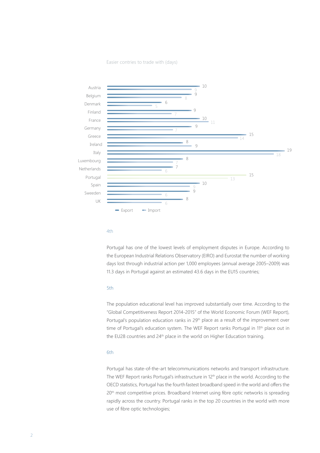Easier contries to trade with (days)



#### 4th

Portugal has one of the lowest levels of employment disputes in Europe. According to the European Industrial Relations Observatory (EIRO) and Eurostat the number of working days lost through industrial action per 1,000 employees (annual average 2005–2009) was 11.3 days in Portugal against an estimated 43.6 days in the EU15 countries;

#### 5th

The population educational level has improved substantially over time. According to the "Global Competitiveness Report 2014-2015" of the World Economic Forum (WEF Report), Portugal's population education ranks in 29<sup>th</sup> place as a result of the improvement over time of Portugal's education system. The WEF Report ranks Portugal in 11<sup>th</sup> place out in the EU28 countries and 24<sup>th</sup> place in the world on Higher Education training.

#### 6th

Portugal has state-of-the-art telecommunications networks and transport infrastructure. The WEF Report ranks Portugal's infrastructure in 12<sup>th</sup> place in the world. According to the OECD statistics, Portugal has the fourthfastest broadband speed in the world and offers the 20<sup>th</sup> most competitive prices. Broadband Internet using fibre optic networks is spreading rapidly across the country. Portugal ranks in the top 20 countries in the world with more use of fibre optic technologies;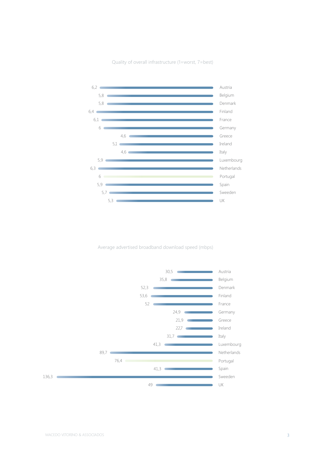Quality of overall infrastructure (1=worst, 7=best)



Average advertised broadband download speed (mbps)

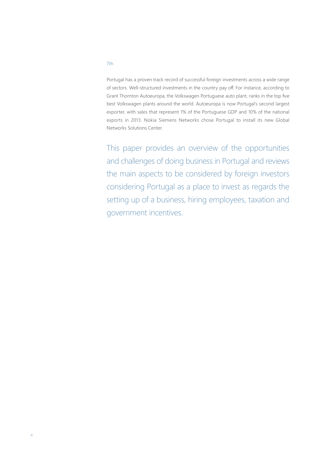Portugal has a proven track record of successful foreign investments across a wide range of sectors. Well-structured investments in the country pay off. For instance, according to Grant Thornton Autoeuropa, the Volkswagen Portuguese auto plant, ranks in the top five best Volkswagen plants around the world. Autoeuropa is now Portugal's second largest exporter, with sales that represent 1% of the Portuguese GDP and 10% of the national exports in 2013. Nokia Siemens Networks chose Portugal to install its new Global Networks Solutions Center.

This paper provides an overview of the opportunities and challenges of doing business in Portugal and reviews the main aspects to be considered by foreign investors considering Portugal as a place to invest as regards the setting up of a business, hiring employees, taxation and government incentives.

#### 7th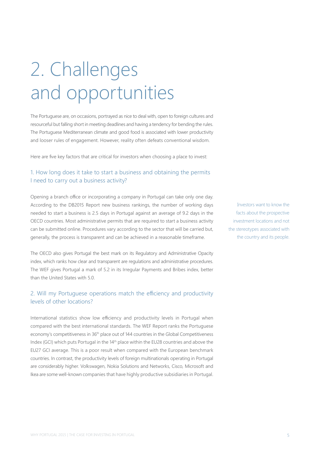# 2. Challenges and opportunities

The Portuguese are, on occasions, portrayed as nice to deal with, open to foreign cultures and resourceful but falling short in meeting deadlines and having a tendency for bending the rules. The Portuguese Mediterranean climate and good food is associated with lower productivity and looser rules of engagement. However, reality often defeats conventional wisdom.

Here are five key factors that are critical for investors when choosing a place to invest:

#### 1. How long does it take to start a business and obtaining the permits I need to carry out a business activity?

Opening a branch office or incorporating a company in Portugal can take only one day. According to the DB2015 Report new business rankings, the number of working days needed to start a business is 2.5 days in Portugal against an average of 9.2 days in the OECD countries. Most administrative permits that are required to start a business activity can be submitted online. Procedures vary according to the sector that will be carried but, generally, the process is transparent and can be achieved in a reasonable timeframe.

The OECD also gives Portugal the best mark on its Regulatory and Administrative Opacity index, which ranks how clear and transparent are regulations and administrative procedures. The WEF gives Portugal a mark of 5.2 in its Irregular Payments and Bribes index, better than the United States with 5.0.

#### 2. Will my Portuguese operations match the efficiency and productivity levels of other locations?

International statistics show low efficiency and productivity levels in Portugal when compared with the best international standards. The WEF Report ranks the Portuguese economy's competitiveness in 36<sup>th</sup> place out of 144 countries in the Global Competitiveness Index (GCI) which puts Portugal in the 14<sup>th</sup> place within the EU28 countries and above the EU27 GCI average. This is a poor result when compared with the European benchmark countries. In contrast, the productivity levels of foreign multinationals operating in Portugal are considerably higher. Volkswagen, Nokia Solutions and Networks, Cisco, Microsoft and Ikea are some well-known companies that have highly productive subsidiaries in Portugal.

Investors want to know the facts about the prospective investment locations and not the stereotypes associated with the country and its people.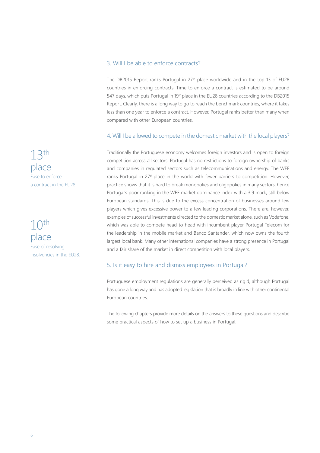#### 3. Will I be able to enforce contracts?

The DB2015 Report ranks Portugal in 27<sup>th</sup> place worldwide and in the top 13 of EU28 countries in enforcing contracts. Time to enforce a contract is estimated to be around 547 days, which puts Portugal in 19th place in the EU28 countries according to the DB2015 Report. Clearly, there is a long way to go to reach the benchmark countries, where it takes less than one year to enforce a contract. However, Portugal ranks better than many when compared with other European countries.

#### 4. Will I be allowed to compete in the domestic market with the local players?

Traditionally the Portuguese economy welcomes foreign investors and is open to foreign competition across all sectors. Portugal has no restrictions to foreign ownership of banks and companies in regulated sectors such as telecommunications and energy. The WEF ranks Portugal in 27<sup>th</sup> place in the world with fewer barriers to competition. However, practice shows that it is hard to break monopolies and oligopolies in many sectors, hence Portugal's poor ranking in the WEF market dominance index with a 3.9 mark, still below European standards. This is due to the excess concentration of businesses around few players which gives excessive power to a few leading corporations. There are, however, examples of successful investments directed to the domestic market alone, such as Vodafone, which was able to compete head-to-head with incumbent player Portugal Telecom for the leadership in the mobile market and Banco Santander, which now owns the fourth largest local bank. Many other international companies have a strong presence in Portugal and a fair share of the market in direct competition with local players.

#### 5. Is it easy to hire and dismiss employees in Portugal?

Portuguese employment regulations are generally perceived as rigid, although Portugal has gone a long way and has adopted legislation that is broadly in line with other continental European countries.

The following chapters provide more details on the answers to these questions and describe some practical aspects of how to set up a business in Portugal.

13th place Ease to enforce a contract in the EU28.

 $10<sup>th</sup>$ place Ease of resolving insolvencies in the EU28.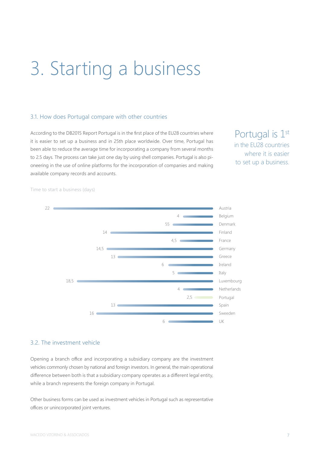# 3. Starting a business

#### 3.1. How does Portugal compare with other countries

According to the DB2015 Report Portugal is in the first place of the EU28 countries where it is easier to set up a business and in 25th place worldwide. Over time, Portugal has been able to reduce the average time for incorporating a company from several months to 2.5 days. The process can take just one day by using shell companies. Portugal is also pioneering in the use of online platforms for the incorporation of companies and making available company records and accounts.

Portugal is 1<sup>st</sup> in the EU28 countries where it is easier to set up a business.





#### 3.2. The investment vehicle

Opening a branch office and incorporating a subsidiary company are the investment vehicles commonly chosen by national and foreign investors. In general, the main operational difference between both is that a subsidiary company operates as a different legal entity, while a branch represents the foreign company in Portugal.

Other business forms can be used as investment vehicles in Portugal such as representative offices or unincorporated joint ventures.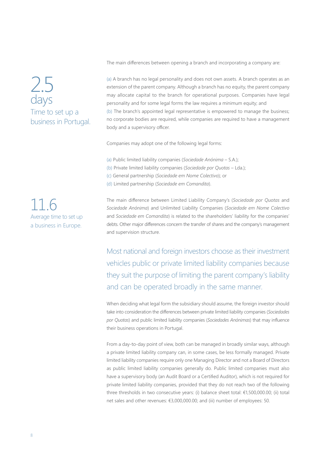The main differences between opening a branch and incorporating a company are:

### 2.5 days Time to set up a business in Portugal.

(a) A branch has no legal personality and does not own assets. A branch operates as an extension of the parent company. Although a branch has no equity, the parent company may allocate capital to the branch for operational purposes. Companies have legal personality and for some legal forms the law requires a minimum equity; and (b) The branch's appointed legal representative is empowered to manage the business; no corporate bodies are required, while companies are required to have a management body and a supervisory officer.

Companies may adopt one of the following legal forms:

- (a) Public limited liability companies (*Sociedade Anónima* S.A.);
- (b) Private limited liability companies (*Sociedade por Quotas* Lda.);
- (c) General partnership (*Sociedade em Nome Colectivo*); or
- (d) Limited partnership (*Sociedade em Comandita*).

The main difference between Limited Liability Company's (*Sociedade por Quotas* and *Sociedade Anónima*) and Unlimited Liability Companies (*Sociedade em Nome Colectivo*  and *Sociedade em Comandita*) is related to the shareholders' liability for the companies' debts. Other major differences concern the transfer of shares and the company's management and supervision structure.

Most national and foreign investors choose as their investment vehicles public or private limited liability companies because they suit the purpose of limiting the parent company's liability and can be operated broadly in the same manner.

When deciding what legal form the subsidiary should assume, the foreign investor should take into consideration the differences between private limited liability companies (*Sociedades por Quotas*) and public limited liability companies (*Sociedades Anónimas*) that may influence their business operations in Portugal.

From a day-to-day point of view, both can be managed in broadly similar ways, although a private limited liability company can, in some cases, be less formally managed. Private limited liability companies require only one Managing Director and not a Board of Directors as public limited liability companies generally do. Public limited companies must also have a supervisory body (an Audit Board or a Certified Auditor), which is not required for private limited liability companies, provided that they do not reach two of the following three thresholds in two consecutive years: (i) balance sheet total: €1,500,000.00; (ii) total net sales and other revenues: €3,000,000.00; and (iii) number of employees: 50.

11.6 Average time to set up a business in Europe.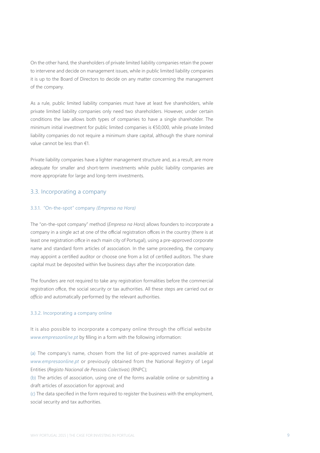On the other hand, the shareholders of private limited liability companies retain the power to intervene and decide on management issues, while in public limited liability companies it is up to the Board of Directors to decide on any matter concerning the management of the company.

As a rule, public limited liability companies must have at least five shareholders, while private limited liability companies only need two shareholders. However, under certain conditions the law allows both types of companies to have a single shareholder. The minimum initial investment for public limited companies is €50,000, while private limited liability companies do not require a minimum share capital, although the share nominal value cannot be less than €1.

Private liability companies have a lighter management structure and, as a result, are more adequate for smaller and short-term investments while public liability companies are more appropriate for large and long-term investments.

#### 3.3. Incorporating a company

#### 3.3.1. "On-the-spot" company *(Empresa na Hora)*

The "on-the-spot company" method (*Empresa na Hora*) allows founders to incorporate a company in a single act at one of the official registration offices in the country (there is at least one registration office in each main city of Portugal), using a pre-approved corporate name and standard form articles of association. In the same proceeding, the company may appoint a certified auditor or choose one from a list of certified auditors. The share capital must be deposited within five business days after the incorporation date.

The founders are not required to take any registration formalities before the commercial registration office, the social security or tax authorities. All these steps are carried out *ex officio* and automatically performed by the relevant authorities.

#### 3.3.2. Incorporating a company online

It is also possible to incorporate a company online through the official website *www.empresaonline.pt* by filling in a form with the following information:

(a) The company's name, chosen from the list of pre-approved names available at *www.empresaonline.pt* or previously obtained from the National Registry of Legal Entities (*Registo Nacional de Pessoas Colectivas*) (RNPC);

(b) The articles of association, using one of the forms available online or submitting a draft articles of association for approval; and

(c) The data specified in the form required to register the business with the employment, social security and tax authorities.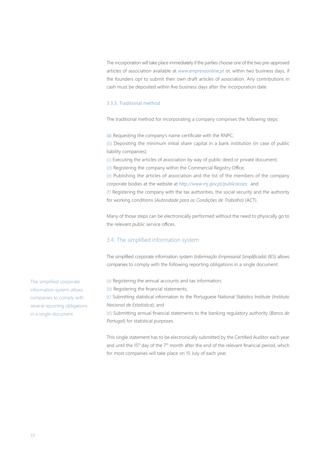The incorporation will take place immediately if the parties choose one of the two pre-approved articles of association available at *www.empresaonline.pt* or, within two business days, if the founders opt to submit their own draft articles of association. Any contributions in cash must be deposited within five business days after the incorporation date.

#### 3.3.3. Traditional method

The traditional method for incorporating a company comprises the following steps:

(a) Requesting the company's name certificate with the RNPC;

(b) Depositing the minimum initial share capital in a bank institution (in case of public liability companies);

(c) Executing the articles of association by way of public deed or private document;

(d) Registering the company within the Commercial Registry Office;

(e) Publishing the articles of association and the list of the members of the company corporate bodies at the website at *http://www.mj.gov.pt/publicacoes;* and

(f) Registering the company with the tax authorities, the social security and the authority for working conditions (*Autoridade para as Condições de Trabalho*) (ACT).

Many of those steps can be electronically performed without the need to physically go to the relevant public service offices.

#### 3.4. The simplified information system

The simplified corporate information system (*Informação Empresarial Simplificada*) (IES) allows companies to comply with the following reporting obligations in a single document:

(a) Registering the annual accounts and tax information;

(b) Registering the financial statements;

(c) Submitting statistical information to the Portuguese National Statistics Institute (*Instituto Nacional de Estatística*); and

(d) Submitting annual financial statements to the banking regulatory authority (*Banco de Portugal*) for statistical purposes.

This single statement has to be electronically submitted by the Certified Auditor each year and until the 15<sup>th</sup> day of the 7<sup>th</sup> month after the end of the relevant financial period, which for most companies will take place on 15 July of each year.

The simplified corporate information system allows companies to comply with several reporting obligations in a single document.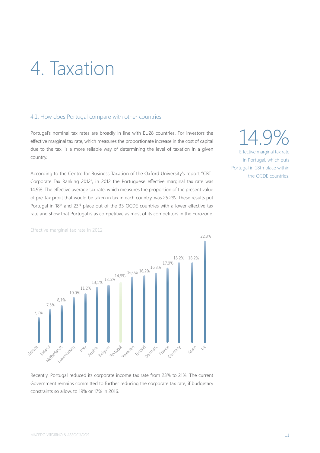# 4. Taxation

#### 4.1. How does Portugal compare with other countries

Portugal's nominal tax rates are broadly in line with EU28 countries. For investors the effective marginal tax rate, which measures the proportionate increase in the cost of capital due to the tax, is a more reliable way of determining the level of taxation in a given country.

According to the Centre for Business Taxation of the Oxford University's report "CBT Corporate Tax Ranking 2012", in 2012 the Portuguese effective marginal tax rate was 14.9%. The effective average tax rate, which measures the proportion of the present value of pre-tax profit that would be taken in tax in each country, was 25.2%. These results put Portugal in 18th and 23<sup>rd</sup> place out of the 33 OCDE countries with a lower effective tax rate and show that Portugal is as competitive as most of its competitors in the Eurozone.

14.9% Effective marginal tax rate in Portugal, which puts Portugal in 18th place within the OCDE countries.





Recently, Portugal reduced its corporate income tax rate from 23% to 21%. The current Government remains committed to further reducing the corporate tax rate, if budgetary constraints so allow, to 19% or 17% in 2016.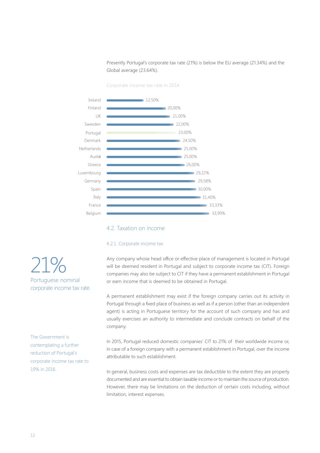Presently Portugal's corporate tax rate (21%) is below the EU average (21.34%) and the Global average (23.64%).

Corporate income tax rate in 2014



#### 4.2. Taxation on income

#### 4.2.1. Corporate income tax

Any company whose head office or effective place of management is located in Portugal will be deemed resident in Portugal and subject to corporate income tax (CIT). Foreign companies may also be subject to CIT if they have a permanent establishment in Portugal or earn income that is deemed to be obtained in Portugal.

A permanent establishment may exist if the foreign company carries out its activity in Portugal through a fixed place of business as well as if a person (other than an independent agent) is acting in Portuguese territory for the account of such company and has and usually exercises an authority to intermediate and conclude contracts on behalf of the company.

In 2015, Portugal reduced domestic companies' CIT to 21% of their worldwide income or, in case of a foreign company with a permanent establishment in Portugal, over the income attributable to such establishment.

In general, business costs and expenses are tax deductible to the extent they are properly documented and are essential to obtain taxable income or to maintain the source of production. However, there may be limitations on the deduction of certain costs including, without limitation, interest expenses.

21% Portuguese nominal corporate income tax rate.

The Government is contemplating a further reduction of Portugal's corporate income tax rate to 19% in 2016.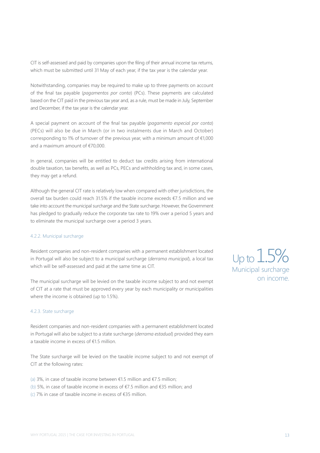CIT is self-assessed and paid by companies upon the filing of their annual income tax returns, which must be submitted until 31 May of each year, if the tax year is the calendar year.

Notwithstanding, companies may be required to make up to three payments on account of the final tax payable (*pagamentos por conta*) (PCs). These payments are calculated based on the CIT paid in the previous tax year and, as a rule, must be made in July, September and December, if the tax year is the calendar year.

A special payment on account of the final tax payable (*pagamento especial por conta*) (PECs) will also be due in March (or in two instalments due in March and October) corresponding to 1% of turnover of the previous year, with a minimum amount of €1,000 and a maximum amount of €70,000.

In general, companies will be entitled to deduct tax credits arising from international double taxation, tax benefits, as well as PCs, PECs and withholding tax and, in some cases, they may get a refund.

Although the general CIT rate is relatively low when compared with other jurisdictions, the overall tax burden could reach 31.5% if the taxable income exceeds €7.5 million and we take into account the municipal surcharge and the State surcharge. However, the Government has pledged to gradually reduce the corporate tax rate to 19% over a period 5 years and to eliminate the municipal surcharge over a period 3 years.

#### 4.2.2. Municipal surcharge

Resident companies and non-resident companies with a permanent establishment located in Portugal will also be subject to a municipal surcharge (*derrama municipal*), a local tax which will be self-assessed and paid at the same time as CIT.

The municipal surcharge will be levied on the taxable income subject to and not exempt of CIT at a rate that must be approved every year by each municipality or municipalities where the income is obtained (up to 1.5%).

#### 4.2.3. State surcharge

Resident companies and non-resident companies with a permanent establishment located in Portugal will also be subject to a state surcharge (*derrama estadual*) provided they earn a taxable income in excess of €1.5 million.

The State surcharge will be levied on the taxable income subject to and not exempt of CIT at the following rates:

(a) 3%, in case of taxable income between €1.5 million and €7.5 million; (b) 5%, in case of taxable income in excess of €7.5 million and €35 million; and

(c) 7% in case of taxable income in excess of €35 million.

Up to 1.5% Municipal surcharge on income.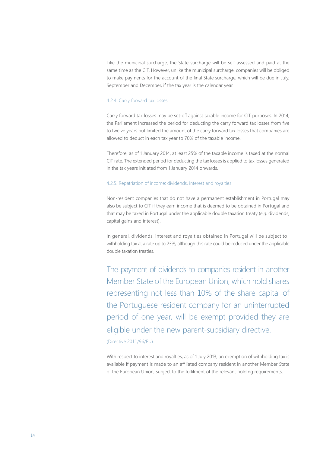Like the municipal surcharge, the State surcharge will be self-assessed and paid at the same time as the CIT. However, unlike the municipal surcharge, companies will be obliged to make payments for the account of the final State surcharge, which will be due in July, September and December, if the tax year is the calendar year.

#### 4.2.4. Carry forward tax losses

Carry forward tax losses may be set-off against taxable income for CIT purposes. In 2014, the Parliament increased the period for deducting the carry forward tax losses from five to twelve years but limited the amount of the carry forward tax losses that companies are allowed to deduct in each tax year to 70% of the taxable income.

Therefore, as of 1 January 2014, at least 25% of the taxable income is taxed at the normal CIT rate. The extended period for deducting the tax losses is applied to tax losses generated in the tax years initiated from 1 January 2014 onwards.

#### 4.2.5. Repatriation of income: dividends, interest and royalties

Non-resident companies that do not have a permanent establishment in Portugal may also be subject to CIT if they earn income that is deemed to be obtained in Portugal and that may be taxed in Portugal under the applicable double taxation treaty (*e.g.* dividends, capital gains and interest).

In general, dividends, interest and royalties obtained in Portugal will be subject to withholding tax at a rate up to 23%, although this rate could be reduced under the applicable double taxation treaties.

The payment of dividends to companies resident in another Member State of the European Union, which hold shares representing not less than 10% of the share capital of the Portuguese resident company for an uninterrupted period of one year, will be exempt provided they are eligible under the new parent-subsidiary directive. (Directive 2011/96/EU).

With respect to interest and royalties, as of 1 July 2013, an exemption of withholding tax is available if payment is made to an affiliated company resident in another Member State of the European Union, subject to the fulfilment of the relevant holding requirements.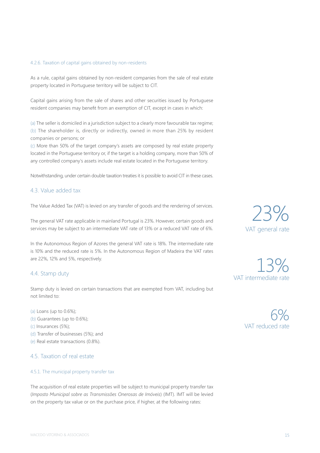#### 4.2.6. Taxation of capital gains obtained by non-residents

As a rule, capital gains obtained by non-resident companies from the sale of real estate property located in Portuguese territory will be subject to CIT.

Capital gains arising from the sale of shares and other securities issued by Portuguese resident companies may benefit from an exemption of CIT, except in cases in which:

(a) The seller is domiciled in a jurisdiction subject to a clearly more favourable tax regime; (b) The shareholder is, directly or indirectly, owned in more than 25% by resident companies or persons; or

(c) More than 50% of the target company's assets are composed by real estate property located in the Portuguese territory or, if the target is a holding company, more than 50% of any controlled company's assets include real estate located in the Portuguese territory.

Notwithstanding, under certain double taxation treaties it is possible to avoid CIT in these cases.

#### 4.3. Value added tax

The Value Added Tax (VAT) is levied on any transfer of goods and the rendering of services.

The general VAT rate applicable in mainland Portugal is 23%. However, certain goods and services may be subject to an intermediate VAT rate of 13% or a reduced VAT rate of 6%.

In the Autonomous Region of Azores the general VAT rate is 18%. The intermediate rate is 10% and the reduced rate is 5%. In the Autonomous Region of Madeira the VAT rates are 22%, 12% and 5%, respectively.

#### 4.4. Stamp duty

Stamp duty is levied on certain transactions that are exempted from VAT, including but not limited to:

(a) Loans (up to 0.6%); (b) Guarantees (up to 0.6%); (c) Insurances (5%); (d) Transfer of businesses (5%); and (e) Real estate transactions (0.8%).

#### 4.5. Taxation of real estate

#### 4.5.1. The municipal property transfer tax

The acquisition of real estate properties will be subject to municipal property transfer tax (*Imposto Municipal sobre as Transmissões Onerosas de Imóveis*) (IMT). IMT will be levied on the property tax value or on the purchase price, if higher, at the following rates:

23% VAT general rate

13% VAT intermediate rate

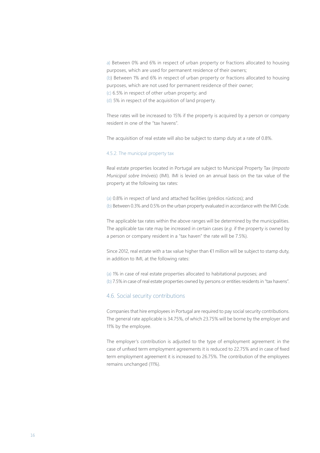a) Between 0% and 6% in respect of urban property or fractions allocated to housing purposes, which are used for permanent residence of their owners; (b) Between 1% and 6% in respect of urban property or fractions allocated to housing purposes, which are not used for permanent residence of their owner; (c) 6.5% in respect of other urban property; and

(d) 5% in respect of the acquisition of land property.

These rates will be increased to 15% if the property is acquired by a person or company resident in one of the "tax havens".

The acquisition of real estate will also be subject to stamp duty at a rate of 0.8%.

#### 4.5.2. The municipal property tax

Real estate properties located in Portugal are subject to Municipal Property Tax (*Imposto Municipal sobre Imóveis*) (IMI). IMI is levied on an annual basis on the tax value of the property at the following tax rates:

(a) 0.8% in respect of land and attached facilities (prédios rústicos); and (b) Between 0.3% and 0.5% on the urban property evaluated in accordance with the IMI Code.

The applicable tax rates within the above ranges will be determined by the municipalities. The applicable tax rate may be increased in certain cases (*e.g.* if the property is owned by a person or company resident in a "tax haven" the rate will be 7.5%).

Since 2012, real estate with a tax value higher than  $€1$  million will be subject to stamp duty, in addition to IMI, at the following rates:

(a) 1% in case of real estate properties allocated to habitational purposes; and (b) 7.5% in case of real estate properties owned by persons or entities residents in "tax havens".

#### 4.6. Social security contributions

Companies that hire employees in Portugal are required to pay social security contributions. The general rate applicable is 34.75%, of which 23.75% will be borne by the employer and 11% by the employee.

The employer's contribution is adjusted to the type of employment agreement: in the case of unfixed term employment agreements it is reduced to 22.75% and in case of fixed term employment agreement it is increased to 26.75%. The contribution of the employees remains unchanged (11%).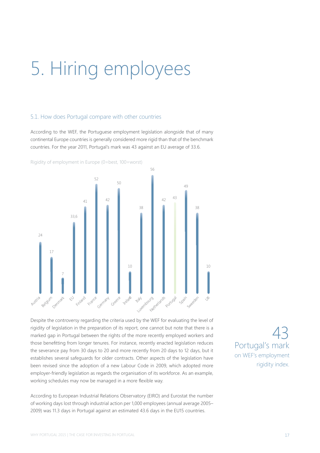# 5. Hiring employees

#### 5.1. How does Portugal compare with other countries

According to the WEF, the Portuguese employment legislation alongside that of many continental Europe countries is generally considered more rigid than that of the benchmark countries. For the year 2011, Portugal's mark was 43 against an EU average of 33.6.



Rigidity of employment in Europe (0=best, 100=worst)

Despite the controversy regarding the criteria used by the WEF for evaluating the level of rigidity of legislation in the preparation of its report, one cannot but note that there is a marked gap in Portugal between the rights of the more recently employed workers and those benefitting from longer tenures. For instance, recently enacted legislation reduces the severance pay from 30 days to 20 and more recently from 20 days to 12 days, but it establishes several safeguards for older contracts. Other aspects of the legislation have been revised since the adoption of a new Labour Code in 2009, which adopted more employer-friendly legislation as regards the organisation of its workforce. As an example, working schedules may now be managed in a more flexible way.

According to European Industrial Relations Observatory (EIRO) and Eurostat the number of working days lost through industrial action per 1,000 employees (annual average 2005– 2009) was 11.3 days in Portugal against an estimated 43.6 days in the EU15 countries.

43 Portugal's mark on WEF's employment rigidity index.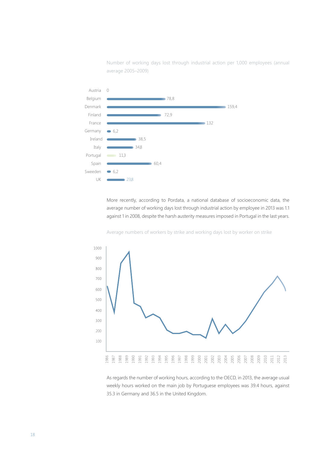Number of working days lost through industrial action per 1,000 employees (annual average 2005–2009)



More recently, according to Pordata, a national database of socioeconomic data, the average number of working days lost through industrial action by employee in 2013 was 1.1 against 1 in 2008, despite the harsh austerity measures imposed in Portugal in the last years.

Average numbers of workers by strike and working days lost by worker on strike



As regards the number of working hours, according to the OECD, in 2013, the average usual weekly hours worked on the main job by Portuguese employees was 39.4 hours, against 35.3 in Germany and 36.5 in the United Kingdom.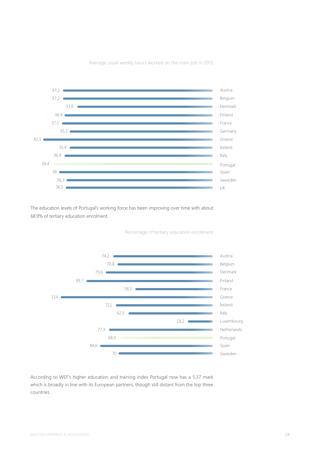

Average usual weekly hours worked on the main job in 2013

The education levels of Portugal's working force has been improving over time with about 68.9% of tertiary education enrolment.

Percentage of tertiary education enrollment



According to WEF's higher education and training index Portugal now has a 5,37 mark which is broadly in line with its European partners, though still distant from the top three countries.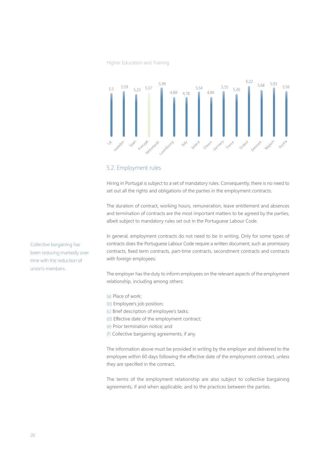#### Higher Education and Training



#### 5.2. Employment rules

Hiring in Portugal is subject to a set of mandatory rules. Consequently, there is no need to set out all the rights and obligations of the parties in the employment contracts.

The duration of contract, working hours, remuneration, leave entitlement and absences and termination of contracts are the most important matters to be agreed by the parties, albeit subject to mandatory rules set out in the Portuguese Labour Code.

In general, employment contracts do not need to be in writing. Only for some types of contracts does the Portuguese Labour Code require a written document, such as promissory contracts, fixed term contracts, part-time contracts, secondment contracts and contracts with foreign employees.

The employer has the duty to inform employees on the relevant aspects of the employment relationship, including among others:

- (a) Place of work;
- (b) Employee's job position;
- (c) Brief description of employee's tasks;
- (d) Effective date of the employment contract;
	- (e) Prior termination notice; and
	- (f) Collective bargaining agreements, if any.

The information above must be provided in writing by the employer and delivered to the employee within 60 days following the effective date of the employment contract, unless they are specified in the contract.

The terms of the employment relationship are also subject to collective bargaining agreements, if and when applicable, and to the practices between the parties.

Collective bargaining has been reducing markedly over time with the reduction of union's members.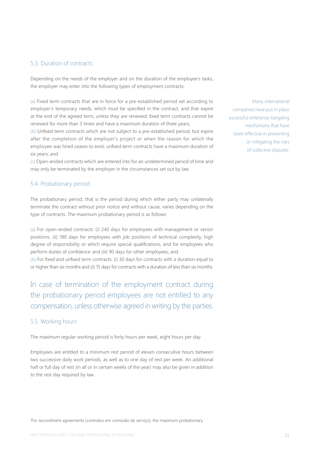#### 5.3. Duration of contracts

Depending on the needs of the employer and on the duration of the employee's tasks, the employer may enter into the following types of employment contracts:

(a) Fixed term contracts that are in force for a pre-established period set according to employer's temporary needs, which must be specified in the contract, and that expire at the end of the agreed term, unless they are renewed; fixed term contracts cannot be renewed for more than 3 times and have a maximum duration of three years;

(b) Unfixed term contracts which are not subject to a pre-established period, but expire after the completion of the employer's project or when the reason for which the employee was hired ceases to exist; unfixed term contracts have a maximum duration of six years; and

(c) Open-ended contracts which are entered into for an undetermined period of time and may only be terminated by the employer in the circumstances set out by law.

#### 5.4. Probationary period

The probationary period, that is the period during which either party may unilaterally terminate the contract without prior notice and without cause, varies depending on the type of contracts. The maximum probationary period is as follows:

(a) For open-ended contracts: (i) 240 days for employees with management or senior positions, (ii) 180 days for employees with job positions of technical complexity, high degree of responsibility or which require special qualifications, and for employees who perform duties of confidence<sup>1</sup> and (iii) 90 days for other employees; and

(b) For fixed and unfixed term contracts: (i) 30 days for contracts with a duration equal to or higher than six months and (ii) 15 days for contracts with a duration of less than six months.

In case of termination of the employment contract during the probationary period employees are not entitled to any compensation, unless otherwise agreed in writing by the parties.

#### 5.5. Working hours

The maximum regular working period is forty hours per week, eight hours per day.

Employees are entitled to a minimum rest period of eleven consecutive hours between two successive daily work periods, as well as to one day of rest per week. An additional half or full day of rest (in all or in certain weeks of the year) may also be given in addition to the rest day required by law.

Many international companies have put in place successful enterprise bargaiing mechanisms that have been effective in preventing or mitigating the risks of collective disputes.

1 For secondment agreements (contratos em comissão de serviço), the maximum probationary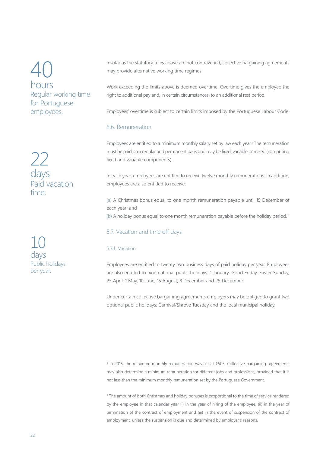40 hours Regular working time for Portuguese employees.

22 days Paid vacation time.

10 days Public holidays per year.

Insofar as the statutory rules above are not contravened, collective bargaining agreements may provide alternative working time regimes.

Work exceeding the limits above is deemed overtime. Overtime gives the employee the right to additional pay and, in certain circumstances, to an additional rest period.

Employees' overtime is subject to certain limits imposed by the Portuguese Labour Code.

#### 5.6. Remuneration

Employees are entitled to a minimum monthly salary set by law each year.<sup>2</sup> The remuneration must be paid on a regular and permanent basis and may be fixed, variable or mixed (comprising fixed and variable components).

In each year, employees are entitled to receive twelve monthly remunerations. In addition, employees are also entitled to receive:

(a) A Christmas bonus equal to one month remuneration payable until 15 December of each year; and (b) A holiday bonus equal to one month remuneration payable before the holiday period.<sup>3</sup>

#### 5.7. Vacation and time off days

#### 5.7.1. Vacation

Employees are entitled to twenty two business days of paid holiday per year. Employees are also entitled to nine national public holidays: 1 January, Good Friday, Easter Sunday, 25 April, 1 May, 10 June, 15 August, 8 December and 25 December.

Under certain collective bargaining agreements employers may be obliged to grant two optional public holidays: Carnival/Shrove Tuesday and the local municipal holiday.

2 In 2015, the minimum monthly remuneration was set at €505. Collective bargaining agreements may also determine a minimum remuneration for different jobs and professions, provided that it is not less than the minimum monthly remuneration set by the Portuguese Government.

<sup>3</sup> The amount of both Christmas and holiday bonuses is proportional to the time of service rendered by the employee in that calendar year (i) in the year of hiring of the employee, (ii) in the year of termination of the contract of employment and (iii) in the event of suspension of the contract of employment, unless the suspension is due and determined by employer's reasons.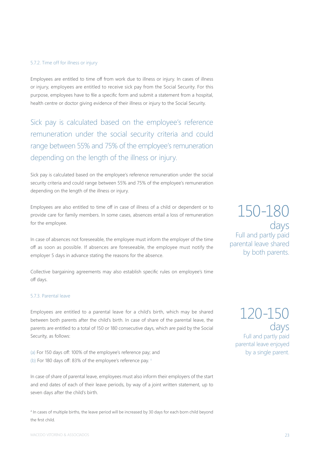#### 5.7.2. Time off for illness or injury

Employees are entitled to time off from work due to illness or injury. In cases of illness or injury, employees are entitled to receive sick pay from the Social Security. For this purpose, employees have to file a specific form and submit a statement from a hospital, health centre or doctor giving evidence of their illness or injury to the Social Security.

Sick pay is calculated based on the employee's reference remuneration under the social security criteria and could range between 55% and 75% of the employee's remuneration depending on the length of the illness or injury.

Sick pay is calculated based on the employee's reference remuneration under the social security criteria and could range between 55% and 75% of the employee's remuneration depending on the length of the illness or injury.

Employees are also entitled to time off in case of illness of a child or dependent or to provide care for family members. In some cases, absences entail a loss of remuneration for the employee.

In case of absences not foreseeable, the employee must inform the employer of the time off as soon as possible. If absences are foreseeable, the employee must notify the employer 5 days in advance stating the reasons for the absence.

Collective bargaining agreements may also establish specific rules on employee's time off days.

#### 5.7.3. Parental leave

Employees are entitled to a parental leave for a child's birth, which may be shared between both parents after the child's birth. In case of share of the parental leave, the parents are entitled to a total of 150 or 180 consecutive days, which are paid by the Social Security, as follows:

(a) For 150 days off: 100% of the employee's reference pay; and (b) For 180 days off: 83% of the employee's reference pay. <sup>4</sup>

In case of share of parental leave, employees must also inform their employers of the start and end dates of each of their leave periods, by way of a joint written statement, up to seven days after the child's birth.

4 In cases of multiple births, the leave period will be increased by 30 days for each born child beyond the first child.

150-180 days Full and partly paid parental leave shared by both parents.

120-150 days Full and partly paid parental leave enjoyed by a single parent.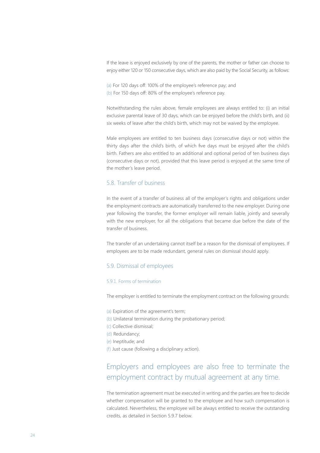If the leave is enjoyed exclusively by one of the parents, the mother or father can choose to enjoy either 120 or 150 consecutive days, which are also paid by the Social Security, as follows:

(a) For 120 days off: 100% of the employee's reference pay; and (b) For 150 days off: 80% of the employee's reference pay.

Notwithstanding the rules above, female employees are always entitled to: (i) an initial exclusive parental leave of 30 days, which can be enjoyed before the child's birth, and (ii) six weeks of leave after the child's birth, which may not be waived by the employee.

Male employees are entitled to ten business days (consecutive days or not) within the thirty days after the child's birth, of which five days must be enjoyed after the child's birth. Fathers are also entitled to an additional and optional period of ten business days (consecutive days or not), provided that this leave period is enjoyed at the same time of the mother's leave period.

#### 5.8. Transfer of business

In the event of a transfer of business all of the employer's rights and obligations under the employment contracts are automatically transferred to the new employer. During one year following the transfer, the former employer will remain liable, jointly and severally with the new employer, for all the obligations that became due before the date of the transfer of business.

The transfer of an undertaking cannot itself be a reason for the dismissal of employees. If employees are to be made redundant, general rules on dismissal should apply.

#### 5.9. Dismissal of employees

#### 5.9.1. Forms of termination

The employer is entitled to terminate the employment contract on the following grounds:

- (a) Expiration of the agreement's term;
- (b) Unilateral termination during the probationary period;
- (c) Collective dismissal;
- (d) Redundancy;
- (e) Ineptitude; and
- (f) Just cause (following a disciplinary action).

### Employers and employees are also free to terminate the employment contract by mutual agreement at any time.

The termination agreement must be executed in writing and the parties are free to decide whether compensation will be granted to the employee and how such compensation is calculated. Nevertheless, the employee will be always entitled to receive the outstanding credits, as detailed in Section 5.9.7 below.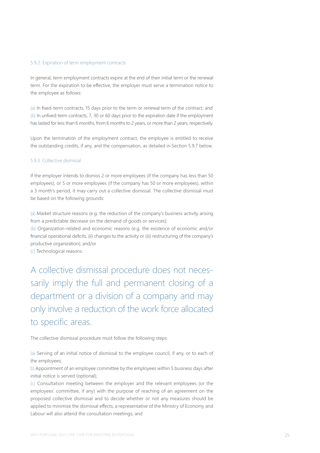#### 5.9.2. Expiration of term employment contracts

In general, term employment contracts expire at the end of their initial term or the renewal term. For the expiration to be effective, the employer must serve a termination notice to the employee as follows:

(a) In fixed-term contracts, 15 days prior to the term or renewal term of the contract; and (b) In unfixed-term contracts, 7, 30 or 60 days prior to the expiration date if the employment has lasted for less than 6 months, from 6 months to 2 years, or more than 2 years, respectively.

Upon the termination of the employment contract, the employee is entitled to receive the outstanding credits, if any, and the compensation, as detailed in Section 5.9.7 below.

#### 5.9.3. Collective dismissal

If the employer intends to dismiss 2 or more employees (if the company has less than 50 employees), or 5 or more employees (if the company has 50 or more employees), within a 3 month's period, it may carry out a collective dismissal. The collective dismissal must be based on the following grounds:

(a) Market structure reasons (e.g. the reduction of the company's business activity arising from a predictable decrease on the demand of goods or services);

(b) Organization-related and economic reasons (e.g. the existence of economic and/or financial operational deficits, (ii) changes to the activity or (iii) restructuring of the company's productive organization); and/or

(c) Technological reasons.

A collective dismissal procedure does not necessarily imply the full and permanent closing of a department or a division of a company and may only involve a reduction of the work force allocated to specific areas.

The collective dismissal procedure must follow the following steps:

(a) Serving of an initial notice of dismissal to the employee council, if any, or to each of the employees;

b) Appointment of an employee committee by the employees within 5 business days after initial notice is served (optional);

(c) Consultation meeting between the employer and the relevant employees (or the employees' committee, if any) with the purpose of reaching of an agreement on the proposed collective dismissal and to decide whether or not any measures should be applied to minimise the dismissal effects; a representative of the Ministry of Economy and Labour will also attend the consultation meetings; and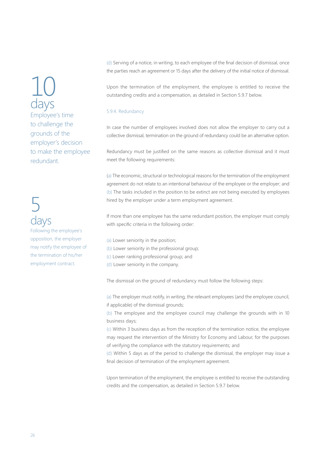10 days Employee's time to challenge the grounds of the employer's decision to make the employee redundant.

## 5 days

Following the employee's opposition, the employer may notify the employee of the termination of his/her employment contract.

(d) Serving of a notice, in writing, to each employee of the final decision of dismissal, once the parties reach an agreement or 15 days after the delivery of the initial notice of dismissal.

Upon the termination of the employment, the employee is entitled to receive the outstanding credits and a compensation, as detailed in Section 5.9.7 below.

#### 5.9.4. Redundancy

In case the number of employees involved does not allow the employer to carry out a collective dismissal, termination on the ground of redundancy could be an alternative option.

Redundancy must be justified on the same reasons as collective dismissal and it must meet the following requirements:

(a) The economic, structural or technological reasons for the termination of the employment agreement do not relate to an intentional behaviour of the employee or the employer; and (b) The tasks included in the position to be extinct are not being executed by employees hired by the employer under a term employment agreement.

If more than one employee has the same redundant position, the employer must comply with specific criteria in the following order:

- (a) Lower seniority in the position;
- (b) Lower seniority in the professional group;
- (c) Lower ranking professional group; and
- (d) Lower seniority in the company.

The dismissal on the ground of redundancy must follow the following steps:

(a) The employer must notify, in writing, the relevant employees (and the employee council, if applicable) of the dismissal grounds;

(b) The employee and the employee council may challenge the grounds with in 10 business days;

(c) Within 3 business days as from the reception of the termination notice, the employee may request the intervention of the Ministry for Economy and Labour, for the purposes of verifying the compliance with the statutory requirements; and

(d) Within 5 days as of the period to challenge the dismissal, the employer may issue a final decision of termination of the employment agreement.

Upon termination of the employment, the employee is entitled to receive the outstanding credits and the compensation, as detailed in Section 5.9.7 below.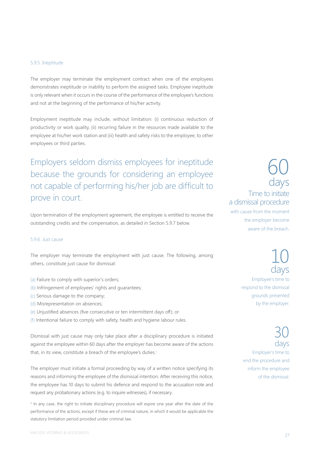#### 5.9.5. Ineptitude

The employer may terminate the employment contract when one of the employees demonstrates ineptitude or inability to perform the assigned tasks. Employee ineptitude is only relevant when it occurs in the course of the performance of the employee's functions and not at the beginning of the performance of his/her activity.

Employment ineptitude may include, without limitation: (i) continuous reduction of productivity or work quality, (ii) recurring failure in the resources made available to the employee at his/her work station and (iii) health and safety risks to the employee, to other employees or third parties.

Employers seldom dismiss employees for ineptitude because the grounds for considering an employee not capable of performing his/her job are difficult to prove in court.

Upon termination of the employment agreement, the employee is entitled to receive the outstanding credits and the compensation, as detailed in Section 5.9.7 below.

#### 5.9.6. Just cause

The employer may terminate the employment with just cause. The following, among others, constitute just cause for dismissal:

- (a) Failure to comply with superior's orders;
- (b) Infringement of employees' rights and guarantees;
- (c) Serious damage to the company;
- (d) Misrepresentation on absences;
- (e) Unjustified absences (five consecutive or ten intermittent days off); or
- (f) Intentional failure to comply with safety, health and hygiene labour rules.

Dismissal with just cause may only take place after a disciplinary procedure is initiated against the employee within 60 days after the employer has become aware of the actions that, in its view, constitute a breach of the employee's duties.<sup>5</sup>

The employer must initiate a formal proceeding by way of a written notice specifying its reasons and informing the employee of the dismissal intention. After receiving this notice, the employee has 10 days to submit his defence and respond to the accusation note and request any probationary actions (e.g. to inquire witnesses), if necessary.

<sup>5</sup> In any case, the right to initiate disciplinary procedure will expire one year after the date of the performance of the actions, except if these are of criminal nature, in which it would be applicable the statutory limitation period provided under criminal law.

### 60 days Time to initiate a dismissal procedure with cause from the moment

the employer become aware of the breach.

> 10 days Employee's time to respond to the dismissal grounds presented by the employer.

30 day Employer's time to end the procedure and inform the employee of the dismissal.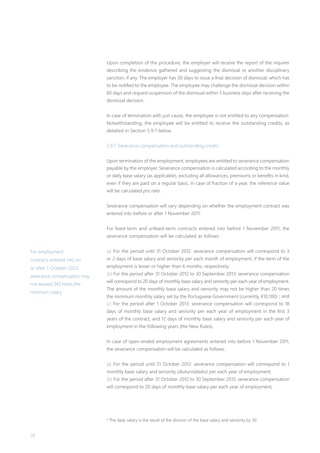Upon completion of the procedure, the employer will receive the report of the inquirer describing the evidence gathered and suggesting the dismissal or another disciplinary sanction, if any. The employer has 30 days to issue a final decision of dismissal, which has to be notified to the employee. The employee may challenge the dismissal decision within 60 days and request suspension of the dismissal within 5 business days after receiving the dismissal decision.

In case of termination with just cause, the employee is not entitled to any compensation. Notwithstanding, the employee will be entitled to receive the outstanding credits, as detailed in Section 5.9.7 below.

#### 5.9.7. Severance compensation and outstanding credits

Upon termination of the employment, employees are entitled to severance compensation payable by the employer. Severance compensation is calculated according to the monthly or daily base salary (as applicable), excluding all allowances, premiums or benefits in kind, even if they are paid on a regular basis. In case of fraction of a year, the reference value will be calculated *pro rata*.

Severance compensation will vary depending on whether the employment contract was entered into before or after 1 November 2011.

For fixed-term and unfixed-term contracts entered into before 1 November 2011, the severance compensation will be calculated as follows:

(a) For the period until 31 October 2012: severance compensation will correspond to 3 or 2 days of base salary and seniority per each month of employment, if the term of the employment is lesser or higher than 6 months, respectively;

(b) For the period after 31 October 2012 to 30 September 2013: severance compensation will correspond to 20 days of monthly base salary and seniority per each year of employment. The amount of the monthly base salary and seniority may not be higher than 20 times the minimum monthly salary set by the Portuguese Government (currently,  $\epsilon$ 10,100) <sup>6</sup>; and (c) For the period after 1 October 2013: severance compensation will correspond to 18 days of monthly base salary and seniority per each year of employment in the first 3 years of the contract, and 12 days of monthly base salary and seniority per each year of employment in the following years (the New Rules).

In case of open-ended employment agreements entered into before 1 November 2011, the severance compensation will be calculated as follows:

(a) For the period until 31 October 2012: severance compensation will correspond to 1 monthly base salary and seniority (*diuturnidades)* per each year of employment; (b) For the period after 31 October 2012 to 30 September 2013: severance compensation will correspond to 20 days of monthly base salary per each year of employment;

6 The daily salary is the result of the division of the base salary and seniority by 30.

For employment contracts entered into on or after 1 October 2013, severance compensation may not exceed 240 times the minimum salary.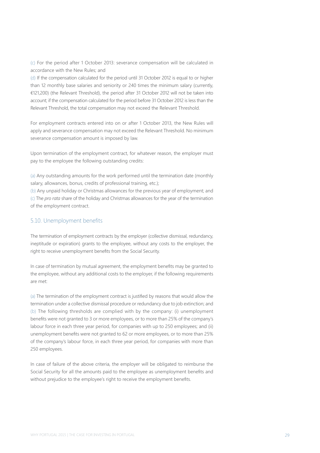(c) For the period after 1 October 2013: severance compensation will be calculated in accordance with the New Rules; and

(d) If the compensation calculated for the period until 31 October 2012 is equal to or higher than 12 monthly base salaries and seniority or 240 times the minimum salary (currently, €121,200) (the Relevant Threshold), the period after 31 October 2012 will not be taken into account; if the compensation calculated for the period before 31 October 2012 is less than the Relevant Threshold, the total compensation may not exceed the Relevant Threshold.

For employment contracts entered into on or after 1 October 2013, the New Rules will apply and severance compensation may not exceed the Relevant Threshold. No minimum severance compensation amount is imposed by law.

Upon termination of the employment contract, for whatever reason, the employer must pay to the employee the following outstanding credits:

(a) Any outstanding amounts for the work performed until the termination date (monthly salary, allowances, bonus, credits of professional training, etc.);

(b) Any unpaid holiday or Christmas allowances for the previous year of employment; and (c) The *pro rata* share of the holiday and Christmas allowances for the year of the termination of the employment contract.

#### 5.10. Unemployment benefits

The termination of employment contracts by the employer (collective dismissal, redundancy, ineptitude or expiration) grants to the employee, without any costs to the employer, the right to receive unemployment benefits from the Social Security.

In case of termination by mutual agreement, the employment benefits may be granted to the employee, without any additional costs to the employer, if the following requirements are met:

(a) The termination of the employment contract is justified by reasons that would allow the termination under a collective dismissal procedure or redundancy due to job extinction; and (b) The following thresholds are complied with by the company: (i) unemployment benefits were not granted to 3 or more employees, or to more than 25% of the company's labour force in each three year period, for companies with up to 250 employees; and (ii) unemployment benefits were not granted to 62 or more employees, or to more than 25% of the company's labour force, in each three year period, for companies with more than 250 employees.

In case of failure of the above criteria, the employer will be obligated to reimburse the Social Security for all the amounts paid to the employee as unemployment benefits and without prejudice to the employee's right to receive the employment benefits.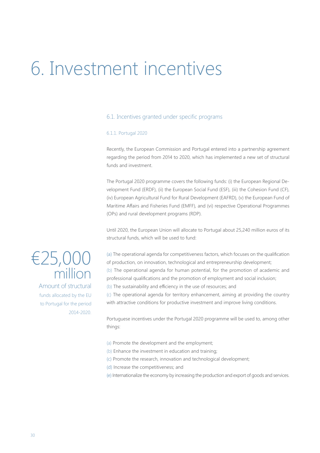# 6. Investment incentives

#### 6.1. Incentives granted under specific programs

#### 6.1.1. Portugal 2020

Recently, the European Commission and Portugal entered into a partnership agreement regarding the period from 2014 to 2020, which has implemented a new set of structural funds and investment.

The Portugal 2020 programme covers the following funds: (i) the European Regional Development Fund (ERDF), (ii) the European Social Fund (ESF), (iii) the Cohesion Fund (CF), (iv) European Agricultural Fund for Rural Development (EAFRD), (v) the European Fund of Maritime Affairs and Fisheries Fund (EMFF), and (vi) respective Operational Programmes (OPs) and rural development programs (RDP).

Until 2020, the European Union will allocate to Portugal about 25,240 million euros of its structural funds, which will be used to fund:

(a) The operational agenda for competitiveness factors, which focuses on the qualification of production, on innovation, technological and entrepreneurship development; (b) The operational agenda for human potential, for the promotion of academic and professional qualifications and the promotion of employment and social inclusion;

(b) The sustainability and efficiency in the use of resources; and

(c) The operational agenda for territory enhancement, aiming at providing the country with attractive conditions for productive investment and improve living conditions.

Portuguese incentives under the Portugal 2020 programme will be used to, among other things:

- (a) Promote the development and the employment;
- (b) Enhance the investment in education and training;
- (c) Promote the research, innovation and technological development;
- (d) Increase the competitiveness; and
- (e) Internationalize the economy by increasing the production and export of goods and services.

### €25,000 million

Amount of structural funds allocated by the EU to Portugal for the period 2014-2020.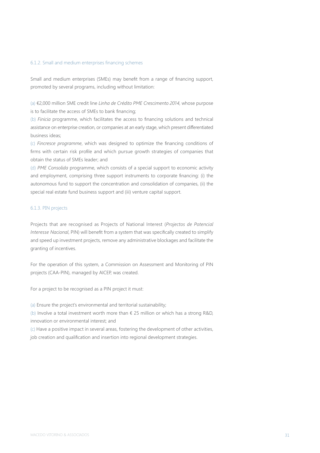#### 6.1.2. Small and medium enterprises financing schemes

Small and medium enterprises (SMEs) may benefit from a range of financing support, promoted by several programs, including without limitation:

(a) €2,000 million SME credit line *Linha de Crédito PME Crescimento 2014*, whose purpose is to facilitate the access of SMEs to bank financing;

(b) *Finicia* programme, which facilitates the access to financing solutions and technical assistance on enterprise creation, or companies at an early stage, which present differentiated business ideas;

(c) *Fincresce programme*, which was designed to optimize the financing conditions of firms with certain risk profile and which pursue growth strategies of companies that obtain the status of SMEs leader; and

(d) *PME Consolida* programme, which consists of a special support to economic activity and employment, comprising three support instruments to corporate financing: (i) the autonomous fund to support the concentration and consolidation of companies, (ii) the special real estate fund business support and (iii) venture capital support.

#### 6.1.3. PIN projects

Projects that are recognised as Projects of National Interest (*Projectos de Potencial Interesse Nacional*, PIN) will benefit from a system that was specifically created to simplify and speed up investment projects, remove any administrative blockages and facilitate the granting of incentives.

For the operation of this system, a Commission on Assessment and Monitoring of PIN projects (CAA-PIN), managed by AICEP, was created.

For a project to be recognised as a PIN project it must:

(a) Ensure the project's environmental and territorial sustainability;

(b) Involve a total investment worth more than  $\epsilon$  25 million or which has a strong R&D, innovation or environmental interest; and

(c) Have a positive impact in several areas, fostering the development of other activities, job creation and qualification and insertion into regional development strategies.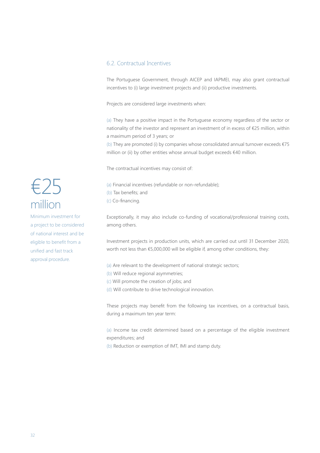#### 6.2. Contractual Incentives

The Portuguese Government, through AICEP and IAPMEI, may also grant contractual incentives to (i) large investment projects and (ii) productive investments.

Projects are considered large investments when:

(a) They have a positive impact in the Portuguese economy regardless of the sector or nationality of the investor and represent an investment of in excess of €25 million, within a maximum period of 3 years; or

(b) They are promoted (i) by companies whose consolidated annual turnover exceeds €75 million or (ii) by other entities whose annual budget exceeds €40 million.

The contractual incentives may consist of:

(a) Financial incentives (refundable or non-refundable); (b) Tax benefits; and (c) Co-financing.

Exceptionally, it may also include co-funding of vocational/professional training costs, among others.

Investment projects in production units, which are carried out until 31 December 2020, worth not less than €5,000,000 will be eligible if, among other conditions, they:

(a) Are relevant to the development of national strategic sectors;

- (b) Will reduce regional asymmetries;
- (c) Will promote the creation of jobs; and
- (d) Will contribute to drive technological innovation.

These projects may benefit from the following tax incentives, on a contractual basis, during a maximum ten year term:

(a) Income tax credit determined based on a percentage of the eligible investment expenditures; and

(b) Reduction or exemption of IMT, IMI and stamp duty.

### €25 million

Minimum investment for a project to be considered of national interest and be eligible to benefit from a unified and fast track approval procedure.